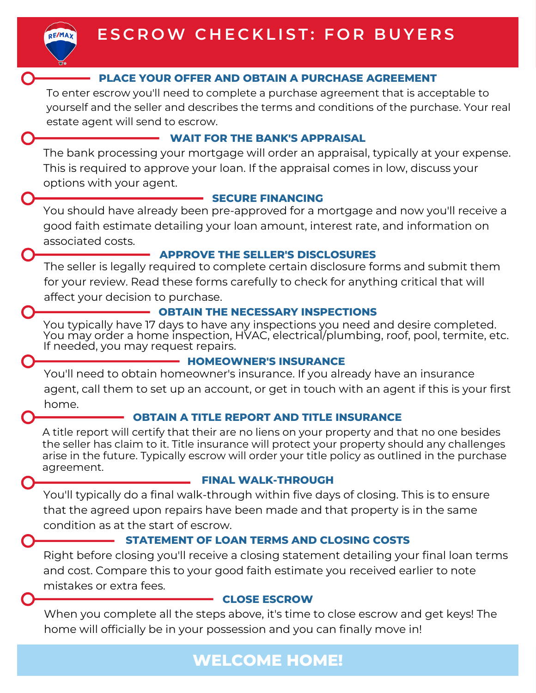#### **PLACE YOUR OFFER AND OBTAIN A PURCHASE AGREEMENT**

To enter escrow you'll need to complete a purchase agreement that is acceptable to yourself and the seller and describes the terms and conditions of the purchase. Your real estate agent will send to escrow.

#### **WAIT FOR THE BANK'S APPRAISAL**

The bank processing your mortgage will order an appraisal, typically at your expense. This is required to approve your loan. If the appraisal comes in low, discuss your options with your agent.

#### **SECURE FINANCING**

You should have already been pre-approved for a mortgage and now you'll receive a good faith estimate detailing your loan amount, interest rate, and information on associated costs.

#### **APPROVE THE SELLER'S DISCLOSURES**

The seller is legally required to complete certain disclosure forms and submit them for your review. Read these forms carefully to check for anything critical that will affect your decision to purchase.

**OBTAIN THE NECESSARY INSPECTIONS** You may order a home inspection, HVAC, electrical/plumbing, roof, pool, termite, etc. If needed, you may request repairs.

#### **HOMEOWNER'S INSURANCE**

You'll need to obtain homeowner's insurance. If you already have an insurance agent, call them to set up an account, or get in touch with an agent if this is your first home.

#### **OBTAIN A TITLE REPORT AND TITLE INSURANCE**

A title report will certify that their are no liens on your property and that no one besides the seller has claim to it. Title insurance will protect your property should any challenges arise in the future. Typically escrow will order your title policy as outlined in the purchase agreement.

#### **FINAL WALK-THROUGH**

You'll typically do a final walk-through within five days of closing. This is to ensure that the agreed upon repairs have been made and that property is in the same condition as at the start of escrow.

#### **STATEMENT OF LOAN TERMS AND CLOSING COSTS**

Right before closing you'll receive a closing statement detailing your final loan terms and cost. Compare this to your good faith estimate you received earlier to note mistakes or extra fees.

#### **CLOSE ESCROW**

When you complete all the steps above, it's time to close escrow and get keys! The home will officially be in your possession and you can finally move in!

## **WELCOME HOME!**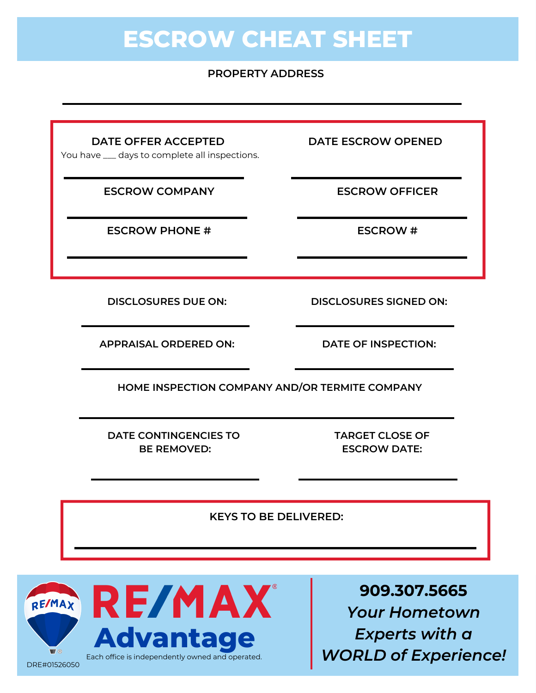# **ESCROW CHEAT SHEET**

#### **PROPERTY ADDRESS**

**DATE OFFER ACCEPTED DATE ESCROW OPENED**

You have \_\_\_ days to complete all inspections.

**ESCROW COMPANY ESCROW OFFICER**

**ESCROW PHONE # ESCROW #**

**DISCLOSURES DUE ON: DISCLOSURES SIGNED ON:**

**APPRAISAL ORDERED ON: DATE OF INSPECTION:**

**HOME INSPECTION COMPANY AND/OR TERMITE COMPANY**

**DATE CONTINGENCIES TO BE REMOVED:**

**TARGET CLOSE OF ESCROW DATE:**

**KEYS TO BE DELIVERED:**



**909.307.5665** *Your Hometown Experts with a WORLD of Experience!*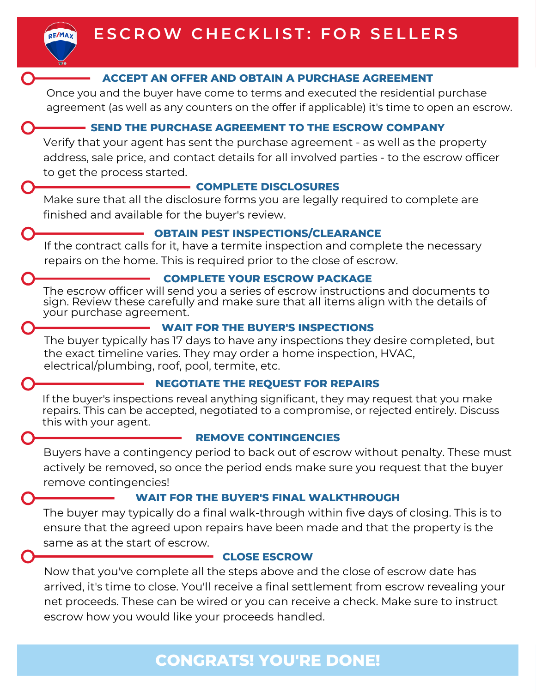

#### **ACCEPT AN OFFER AND OBTAIN A PURCHASE AGREEMENT**

Once you and the buyer have come to terms and executed the residential purchase agreement (as well as any counters on the offer if applicable) it's time to open an escrow.

#### **SEND THE PURCHASE AGREEMENT TO THE ESCROW COMPANY**

Verify that your agent has sent the purchase agreement - as well as the property address, sale price, and contact details for all involved parties - to the escrow officer to get the process started.

#### **COMPLETE DISCLOSURES**

Make sure that all the disclosure forms you are legally required to complete are finished and available for the buyer's review.

#### **OBTAIN PEST INSPECTIONS/CLEARANCE**

If the contract calls for it, have a termite inspection and complete the necessary repairs on the home. This is required prior to the close of escrow.

#### **COMPLETE YOUR ESCROW PACKAGE**

The escrow officer will send you a series of escrow instructions and documents to sign. Review these carefully and make sure that all items align with the details of your purchase agreement.

### **WAIT FOR THE BUYER'S INSPECTIONS**

The buyer typically has 17 days to have any inspections they desire completed, but the exact timeline varies. They may order a home inspection, HVAC, electrical/plumbing, roof, pool, termite, etc.

### **NEGOTIATE THE REQUEST FOR REPAIRS**

If the buyer's inspections reveal anything significant, they may request that you make repairs. This can be accepted, negotiated to a compromise, or rejected entirely. Discuss this with your agent.

### **REMOVE CONTINGENCIES**

Buyers have a contingency period to back out of escrow without penalty. These must actively be removed, so once the period ends make sure you request that the buyer remove contingencies!

### **WAIT FOR THE BUYER'S FINAL WALKTHROUGH**

The buyer may typically do a final walk-through within five days of closing. This is to ensure that the agreed upon repairs have been made and that the property is the same as at the start of escrow.

### **CLOSE ESCROW**

Now that you've complete all the steps above and the close of escrow date has arrived, it's time to close. You'll receive a final settlement from escrow revealing your net proceeds. These can be wired or you can receive a check. Make sure to instruct escrow how you would like your proceeds handled.

## **CONGRATS! YOU'RE DONE!**